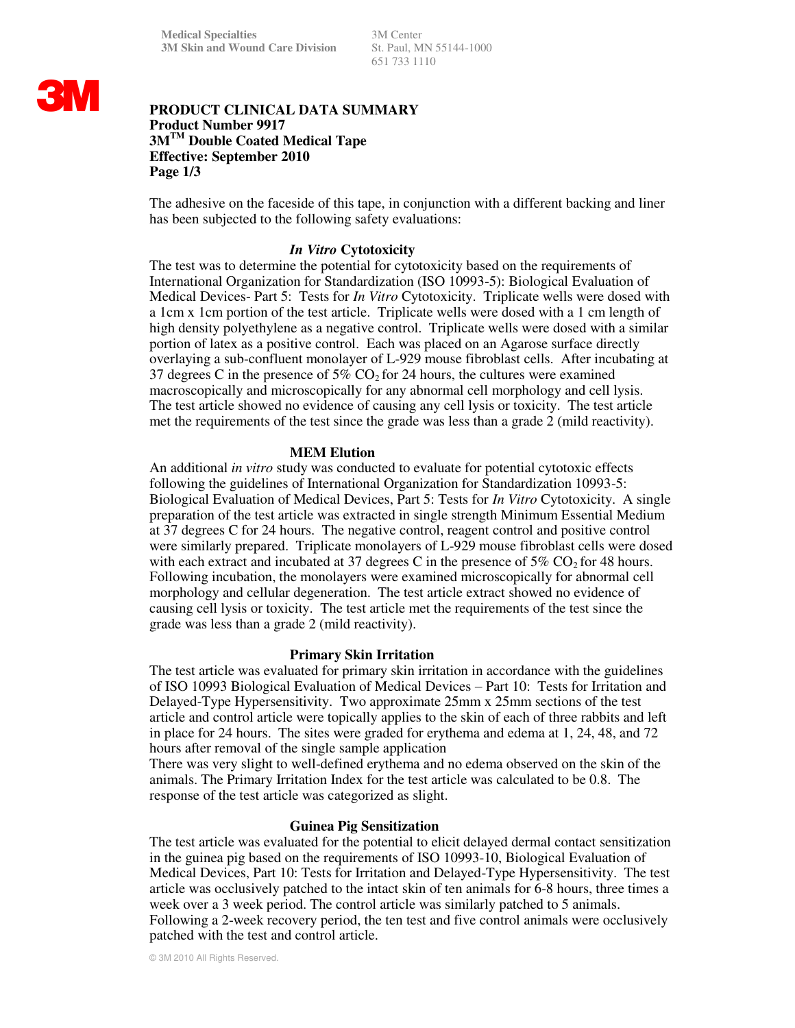651 733 1110

# **3M**

# **PRODUCT CLINICAL DATA SUMMARY Product Number 9917 3MTM Double Coated Medical Tape Effective: September 2010 Page 1/3**

The adhesive on the faceside of this tape, in conjunction with a different backing and liner has been subjected to the following safety evaluations:

# *In Vitro* **Cytotoxicity**

The test was to determine the potential for cytotoxicity based on the requirements of International Organization for Standardization (ISO 10993-5): Biological Evaluation of Medical Devices- Part 5: Tests for *In Vitro* Cytotoxicity. Triplicate wells were dosed with a 1cm x 1cm portion of the test article. Triplicate wells were dosed with a 1 cm length of high density polyethylene as a negative control. Triplicate wells were dosed with a similar portion of latex as a positive control. Each was placed on an Agarose surface directly overlaying a sub-confluent monolayer of L-929 mouse fibroblast cells. After incubating at 37 degrees C in the presence of 5%  $CO<sub>2</sub>$  for 24 hours, the cultures were examined macroscopically and microscopically for any abnormal cell morphology and cell lysis. The test article showed no evidence of causing any cell lysis or toxicity. The test article met the requirements of the test since the grade was less than a grade 2 (mild reactivity).

## **MEM Elution**

An additional *in vitro* study was conducted to evaluate for potential cytotoxic effects following the guidelines of International Organization for Standardization 10993-5: Biological Evaluation of Medical Devices, Part 5: Tests for *In Vitro* Cytotoxicity. A single preparation of the test article was extracted in single strength Minimum Essential Medium at 37 degrees C for 24 hours. The negative control, reagent control and positive control were similarly prepared. Triplicate monolayers of L-929 mouse fibroblast cells were dosed with each extract and incubated at 37 degrees C in the presence of 5%  $CO<sub>2</sub>$  for 48 hours. Following incubation, the monolayers were examined microscopically for abnormal cell morphology and cellular degeneration. The test article extract showed no evidence of causing cell lysis or toxicity. The test article met the requirements of the test since the grade was less than a grade 2 (mild reactivity).

## **Primary Skin Irritation**

The test article was evaluated for primary skin irritation in accordance with the guidelines of ISO 10993 Biological Evaluation of Medical Devices – Part 10: Tests for Irritation and Delayed-Type Hypersensitivity. Two approximate 25mm x 25mm sections of the test article and control article were topically applies to the skin of each of three rabbits and left in place for 24 hours. The sites were graded for erythema and edema at 1, 24, 48, and 72 hours after removal of the single sample application

There was very slight to well-defined erythema and no edema observed on the skin of the animals. The Primary Irritation Index for the test article was calculated to be 0.8. The response of the test article was categorized as slight.

## **Guinea Pig Sensitization**

The test article was evaluated for the potential to elicit delayed dermal contact sensitization in the guinea pig based on the requirements of ISO 10993-10, Biological Evaluation of Medical Devices, Part 10: Tests for Irritation and Delayed-Type Hypersensitivity. The test article was occlusively patched to the intact skin of ten animals for 6-8 hours, three times a week over a 3 week period. The control article was similarly patched to 5 animals. Following a 2-week recovery period, the ten test and five control animals were occlusively patched with the test and control article.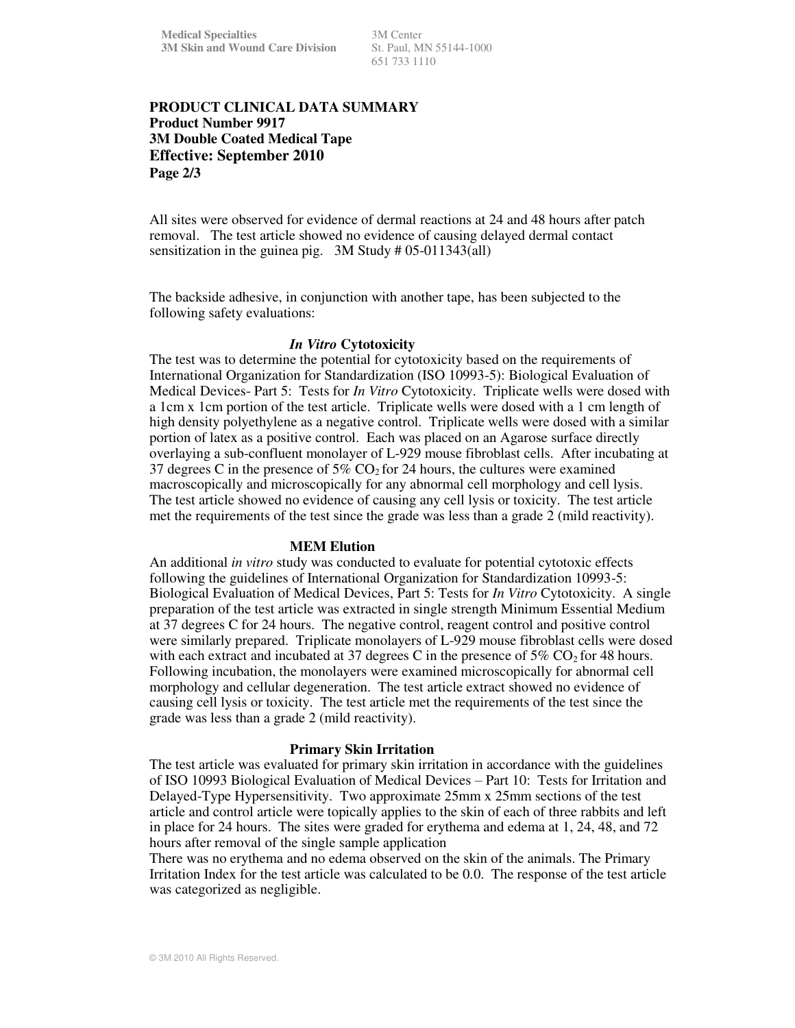651 733 1110

# **PRODUCT CLINICAL DATA SUMMARY Product Number 9917 3M Double Coated Medical Tape Effective: September 2010 Page 2/3**

All sites were observed for evidence of dermal reactions at 24 and 48 hours after patch removal. The test article showed no evidence of causing delayed dermal contact sensitization in the guinea pig. 3M Study # 05-011343(all)

The backside adhesive, in conjunction with another tape, has been subjected to the following safety evaluations:

#### *In Vitro* **Cytotoxicity**

The test was to determine the potential for cytotoxicity based on the requirements of International Organization for Standardization (ISO 10993-5): Biological Evaluation of Medical Devices- Part 5: Tests for *In Vitro* Cytotoxicity. Triplicate wells were dosed with a 1cm x 1cm portion of the test article. Triplicate wells were dosed with a 1 cm length of high density polyethylene as a negative control. Triplicate wells were dosed with a similar portion of latex as a positive control. Each was placed on an Agarose surface directly overlaying a sub-confluent monolayer of L-929 mouse fibroblast cells. After incubating at 37 degrees C in the presence of  $5\%$  CO<sub>2</sub> for 24 hours, the cultures were examined macroscopically and microscopically for any abnormal cell morphology and cell lysis. The test article showed no evidence of causing any cell lysis or toxicity. The test article met the requirements of the test since the grade was less than a grade 2 (mild reactivity).

#### **MEM Elution**

An additional *in vitro* study was conducted to evaluate for potential cytotoxic effects following the guidelines of International Organization for Standardization 10993-5: Biological Evaluation of Medical Devices, Part 5: Tests for *In Vitro* Cytotoxicity. A single preparation of the test article was extracted in single strength Minimum Essential Medium at 37 degrees C for 24 hours. The negative control, reagent control and positive control were similarly prepared. Triplicate monolayers of L-929 mouse fibroblast cells were dosed with each extract and incubated at 37 degrees C in the presence of 5%  $CO<sub>2</sub>$  for 48 hours. Following incubation, the monolayers were examined microscopically for abnormal cell morphology and cellular degeneration. The test article extract showed no evidence of causing cell lysis or toxicity. The test article met the requirements of the test since the grade was less than a grade 2 (mild reactivity).

## **Primary Skin Irritation**

The test article was evaluated for primary skin irritation in accordance with the guidelines of ISO 10993 Biological Evaluation of Medical Devices – Part 10: Tests for Irritation and Delayed-Type Hypersensitivity. Two approximate 25mm x 25mm sections of the test article and control article were topically applies to the skin of each of three rabbits and left in place for 24 hours. The sites were graded for erythema and edema at 1, 24, 48, and 72 hours after removal of the single sample application

There was no erythema and no edema observed on the skin of the animals. The Primary Irritation Index for the test article was calculated to be 0.0. The response of the test article was categorized as negligible.